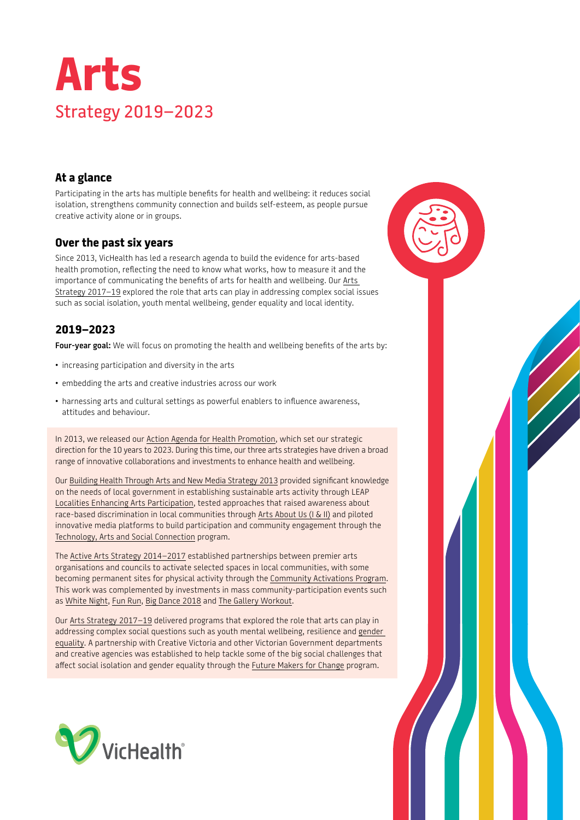

## **At a glance**

Participating in the arts has multiple benefits for health and wellbeing: it reduces social isolation, strengthens community connection and builds self-esteem, as people pursue creative activity alone or in groups.

### **Over the past six years**

Since 2013, VicHealth has led a research agenda to build the evidence for arts-based health promotion, reflecting the need to know what works, how to measure it and the importance of communicating the benefits of arts for health and wellbeing. Our [Arts](https://www.vichealth.vic.gov.au/media-and-resources/publications/arts-strategy)  [Strategy 2017–19](https://www.vichealth.vic.gov.au/media-and-resources/publications/arts-strategy) explored the role that arts can play in addressing complex social issues such as social isolation, youth mental wellbeing, gender equality and local identity.

# **2019–2023**

**Four-year goal:** We will focus on promoting the health and wellbeing benefits of the arts by:

- increasing participation and diversity in the arts
- embedding the arts and creative industries across our work
- harnessing arts and cultural settings as powerful enablers to influence awareness, attitudes and behaviour.

In 2013, we released our [Action Agenda for Health Promotion,](https://www.vichealth.vic.gov.au/media-and-resources/publications/action-agenda-for-health-promotion) which set our strategic direction for the 10 years to 2023. During this time, our three arts strategies have driven a broad range of innovative collaborations and investments to enhance health and wellbeing.

Our [Building Health Through Arts and New Media Strategy 2013](https://www.vichealth.vic.gov.au/search/building-health-through-arts-and-new-media) provided significant knowledge on the needs of local government in establishing sustainable arts activity through LEAP [Localities Enhancing Arts Participation,](https://www.vichealth.vic.gov.au/programs-and-projects/localities-enhancing-arts-participation) tested approaches that raised awareness about race-based discrimination in local communities through [Arts About Us \(I & II\)](https://www.vichealth.vic.gov.au/programs-and-projects/arts-about-us) and piloted innovative media platforms to build participation and community engagement through the [Technology, Arts and Social Connection](https://www.vichealth.vic.gov.au/programs-and-projects/technology-arts-and-social-connection-program) program.

The [Active Arts Strategy 2014–2017](https://www.vichealth.vic.gov.au/media-and-resources/publications/active-arts-strategy) established partnerships between premier arts organisations and councils to activate selected spaces in local communities, with some becoming permanent sites for physical activity through the [Community Activations Program](https://www.vichealth.vic.gov.au/programs-and-projects/vichealth-community-activation-program). This work was complemented by investments in mass community-participation events such as [White Night,](https://www.vichealth.vic.gov.au/search/white-night) [Fun Run](https://www.vichealth.vic.gov.au/search/arts-centre-melbourne-presents-fun-run), [Big Dance 2018](https://www.vichealth.vic.gov.au/search/dance-is-for-everyone-lets-get-moving) and [The Gallery Workout.](https://www.vichealth.vic.gov.au/search/the-gallery-workout)

Our [Arts Strategy 2017–19](https://www.vichealth.vic.gov.au/media-and-resources/publications/arts-strategy) delivered programs that explored the role that arts can play in addressing complex social questions such as youth mental wellbeing, resilience and [gender](https://www.vichealth.vic.gov.au/search/gender-equality-arts)  [equality](https://www.vichealth.vic.gov.au/search/gender-equality-arts). A partnership with Creative Victoria and other Victorian Government departments and creative agencies was established to help tackle some of the big social challenges that affect social isolation and gender equality through the [Future Makers for Change](https://www.vichealth.vic.gov.au/search/future-makers-for-change) program.



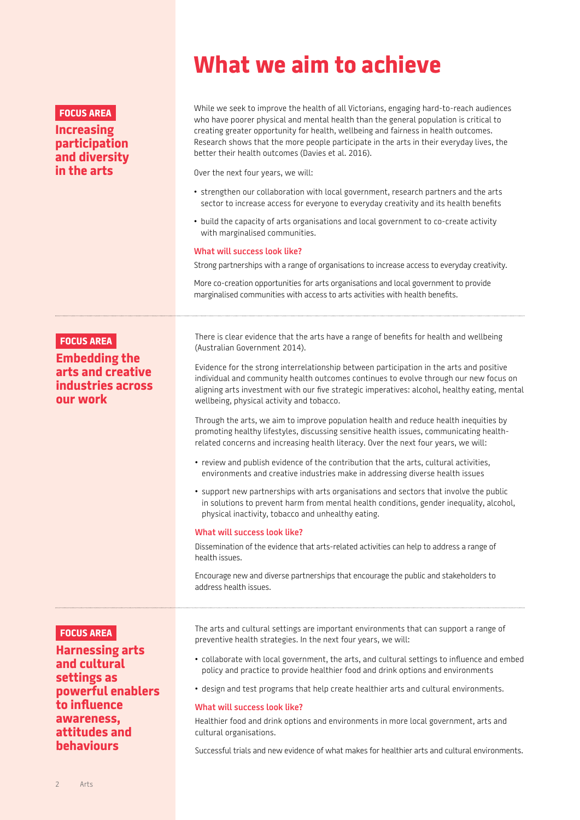#### **FOCUS AREA**

### **Increasing participation and diversity in the arts**

# **What we aim to achieve**

While we seek to improve the health of all Victorians, engaging hard-to-reach audiences who have poorer physical and mental health than the general population is critical to creating greater opportunity for health, wellbeing and fairness in health outcomes. Research shows that the more people participate in the arts in their everyday lives, the better their health outcomes (Davies et al. 2016).

Over the next four years, we will:

- strengthen our collaboration with local government, research partners and the arts sector to increase access for everyone to everyday creativity and its health benefits
- build the capacity of arts organisations and local government to co-create activity with marginalised communities.

#### **What will success look like?**

Strong partnerships with a range of organisations to increase access to everyday creativity.

More co-creation opportunities for arts organisations and local government to provide marginalised communities with access to arts activities with health benefits.

#### **FOCUS AREA**

**Embedding the arts and creative industries across our work**

There is clear evidence that the arts have a range of benefits for health and wellbeing (Australian Government 2014).

Evidence for the strong interrelationship between participation in the arts and positive individual and community health outcomes continues to evolve through our new focus on aligning arts investment with our five strategic imperatives: alcohol, healthy eating, mental wellbeing, physical activity and tobacco.

Through the arts, we aim to improve population health and reduce health inequities by promoting healthy lifestyles, discussing sensitive health issues, communicating healthrelated concerns and increasing health literacy. Over the next four years, we will:

- review and publish evidence of the contribution that the arts, cultural activities, environments and creative industries make in addressing diverse health issues
- support new partnerships with arts organisations and sectors that involve the public in solutions to prevent harm from mental health conditions, gender inequality, alcohol, physical inactivity, tobacco and unhealthy eating.

#### **What will success look like?**

Dissemination of the evidence that arts-related activities can help to address a range of health issues.

Encourage new and diverse partnerships that encourage the public and stakeholders to address health issues.

#### **FOCUS AREA**

**Harnessing arts and cultural settings as powerful enablers to influence awareness, attitudes and behaviours**

The arts and cultural settings are important environments that can support a range of preventive health strategies. In the next four years, we will:

- collaborate with local government, the arts, and cultural settings to influence and embed policy and practice to provide healthier food and drink options and environments
- design and test programs that help create healthier arts and cultural environments.

#### **What will success look like?**

Healthier food and drink options and environments in more local government, arts and cultural organisations.

Successful trials and new evidence of what makes for healthier arts and cultural environments.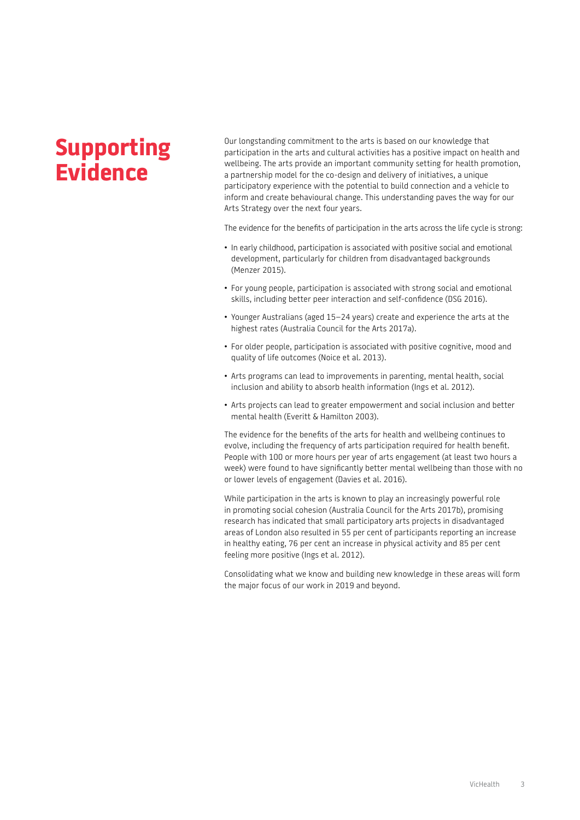# **Supporting Evidence**

Our longstanding commitment to the arts is based on our knowledge that participation in the arts and cultural activities has a positive impact on health and wellbeing. The arts provide an important community setting for health promotion, a partnership model for the co-design and delivery of initiatives, a unique participatory experience with the potential to build connection and a vehicle to inform and create behavioural change. This understanding paves the way for our Arts Strategy over the next four years.

The evidence for the benefits of participation in the arts across the life cycle is strong:

- In early childhood, participation is associated with positive social and emotional development, particularly for children from disadvantaged backgrounds (Menzer 2015).
- For young people, participation is associated with strong social and emotional skills, including better peer interaction and self-confidence (DSG 2016).
- Younger Australians (aged 15–24 years) create and experience the arts at the highest rates (Australia Council for the Arts 2017a).
- For older people, participation is associated with positive cognitive, mood and quality of life outcomes (Noice et al. 2013).
- Arts programs can lead to improvements in parenting, mental health, social inclusion and ability to absorb health information (Ings et al. 2012).
- Arts projects can lead to greater empowerment and social inclusion and better mental health (Everitt & Hamilton 2003).

The evidence for the benefits of the arts for health and wellbeing continues to evolve, including the frequency of arts participation required for health benefit. People with 100 or more hours per year of arts engagement (at least two hours a week) were found to have significantly better mental wellbeing than those with no or lower levels of engagement (Davies et al. 2016).

While participation in the arts is known to play an increasingly powerful role in promoting social cohesion (Australia Council for the Arts 2017b), promising research has indicated that small participatory arts projects in disadvantaged areas of London also resulted in 55 per cent of participants reporting an increase in healthy eating, 76 per cent an increase in physical activity and 85 per cent feeling more positive (Ings et al. 2012).

Consolidating what we know and building new knowledge in these areas will form the major focus of our work in 2019 and beyond.